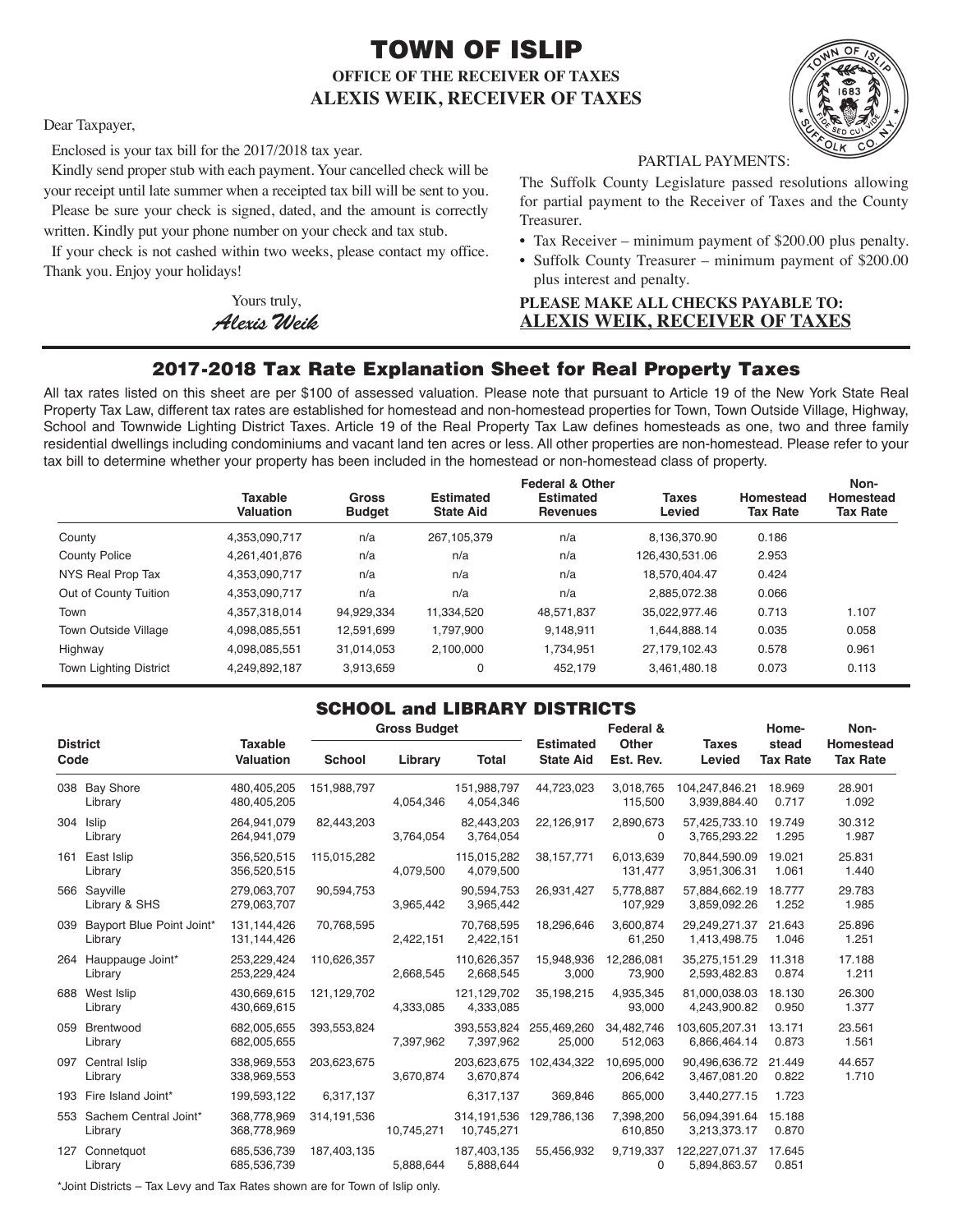# TOWN OF ISLIP **OFFICE OF THE RECEIVER OF TAXES ALEXIS WEIK, RECEIVER OF TAXES**



Dear Taxpayer,

Enclosed is your tax bill for the 2017/2018 tax year.

Kindly send proper stub with each payment. Your cancelled check will be your receipt until late summer when a receipted tax bill will be sent to you. Please be sure your check is signed, dated, and the amount is correctly

written. Kindly put your phone number on your check and tax stub.

If your check is not cashed within two weeks, please contact my office. Thank you. Enjoy your holidays!

> Yours truly, *AlexisWeik*

PARTIAL PAYMENTS:

The Suffolk County Legislature passed resolutions allowing for partial payment to the Receiver of Taxes and the County Treasurer.

- Tax Receiver minimum payment of \$200.00 plus penalty.
- Suffolk County Treasurer minimum payment of \$200.00 plus interest and penalty.

### **PLEASE MAKE ALL CHECKS PAYABLE TO: ALEXIS WEIK, RECEIVER OF TAXES**

## 2017-2018 Tax Rate Explanation Sheet for Real Property Taxes

All tax rates listed on this sheet are per \$100 of assessed valuation. Please note that pursuant to Article 19 of the New York State Real Property Tax Law, different tax rates are established for homestead and non-homestead properties for Town, Town Outside Village, Highway, School and Townwide Lighting District Taxes. Article 19 of the Real Property Tax Law defines homesteads as one, two and three family residential dwellings including condominiums and vacant land ten acres or less. All other properties are non-homestead. Please refer to your tax bill to determine whether your property has been included in the homestead or non-homestead class of property.

|                               | <b>Taxable</b><br>Valuation | <b>Gross</b><br><b>Budget</b> | <b>Estimated</b><br><b>State Aid</b> | <b>Federal &amp; Other</b><br><b>Estimated</b><br><b>Revenues</b> | <b>Taxes</b><br>Levied | Homestead<br><b>Tax Rate</b> | Non-<br>Homestead<br><b>Tax Rate</b> |
|-------------------------------|-----------------------------|-------------------------------|--------------------------------------|-------------------------------------------------------------------|------------------------|------------------------------|--------------------------------------|
| County                        | 4,353,090,717               | n/a                           | 267,105,379                          | n/a                                                               | 8.136.370.90           | 0.186                        |                                      |
| <b>County Police</b>          | 4,261,401,876               | n/a                           | n/a                                  | n/a                                                               | 126,430,531.06         | 2.953                        |                                      |
| NYS Real Prop Tax             | 4.353.090.717               | n/a                           | n/a                                  | n/a                                                               | 18.570.404.47          | 0.424                        |                                      |
| Out of County Tuition         | 4,353,090,717               | n/a                           | n/a                                  | n/a                                                               | 2.885.072.38           | 0.066                        |                                      |
| Town                          | 4.357.318.014               | 94.929.334                    | 11.334.520                           | 48.571.837                                                        | 35.022.977.46          | 0.713                        | 1.107                                |
| <b>Town Outside Village</b>   | 4,098,085,551               | 12,591,699                    | 1,797,900                            | 9,148,911                                                         | 1,644,888.14           | 0.035                        | 0.058                                |
| Highway                       | 4,098,085,551               | 31.014.053                    | 2.100.000                            | 1,734,951                                                         | 27,179,102.43          | 0.578                        | 0.961                                |
| <b>Town Lighting District</b> | 4,249,892,187               | 3.913.659                     | 0                                    | 452.179                                                           | 3,461,480.18           | 0.073                        | 0.113                                |

### SCHOOL and LIBRARY DISTRICTS

| <b>District</b><br>Code |                                      |                                    | <b>Gross Budget</b> |            |                          | Federal &                            |                       | Home-                          | Non-                     |                              |
|-------------------------|--------------------------------------|------------------------------------|---------------------|------------|--------------------------|--------------------------------------|-----------------------|--------------------------------|--------------------------|------------------------------|
|                         |                                      | <b>Taxable</b><br><b>Valuation</b> | <b>School</b>       | Library    | <b>Total</b>             | <b>Estimated</b><br><b>State Aid</b> | Other<br>Est. Rev.    | <b>Taxes</b><br>Levied         | stead<br><b>Tax Rate</b> | Homestead<br><b>Tax Rate</b> |
|                         | 038 Bay Shore<br>Library             | 480,405,205<br>480,405,205         | 151,988,797         | 4,054,346  | 151,988,797<br>4,054,346 | 44,723,023                           | 3,018,765<br>115,500  | 104,247,846.21<br>3,939,884.40 | 18.969<br>0.717          | 28.901<br>1.092              |
|                         | 304 Islip<br>Library                 | 264,941,079<br>264,941,079         | 82,443,203          | 3,764,054  | 82,443,203<br>3,764,054  | 22,126,917                           | 2,890,673<br>$\Omega$ | 57,425,733.10<br>3,765,293.22  | 19.749<br>1.295          | 30.312<br>1.987              |
| 161                     | East Islip<br>Library                | 356,520,515<br>356,520,515         | 115,015,282         | 4,079,500  | 115,015,282<br>4,079,500 | 38,157,771                           | 6,013,639<br>131,477  | 70,844,590.09<br>3,951,306.31  | 19.021<br>1.061          | 25.831<br>1.440              |
|                         | 566 Sayville<br>Library & SHS        | 279,063,707<br>279,063,707         | 90,594,753          | 3,965,442  | 90,594,753<br>3,965,442  | 26,931,427                           | 5,778,887<br>107,929  | 57,884,662.19<br>3,859,092.26  | 18.777<br>1.252          | 29.783<br>1.985              |
| 039                     | Bayport Blue Point Joint*<br>Library | 131,144,426<br>131,144,426         | 70,768,595          | 2,422,151  | 70,768,595<br>2,422,151  | 18,296,646                           | 3,600,874<br>61,250   | 29,249,271.37<br>1,413,498.75  | 21.643<br>1.046          | 25.896<br>1.251              |
|                         | 264 Hauppauge Joint*<br>Library      | 253,229,424<br>253,229,424         | 110,626,357         | 2,668,545  | 110,626,357<br>2,668,545 | 15,948,936<br>3,000                  | 12,286,081<br>73,900  | 35,275,151.29<br>2,593,482.83  | 11.318<br>0.874          | 17.188<br>1.211              |
|                         | 688 West Islip<br>Library            | 430,669,615<br>430,669,615         | 121,129,702         | 4,333,085  | 121,129,702<br>4,333,085 | 35,198,215                           | 4,935,345<br>93,000   | 81,000,038.03<br>4,243,900.82  | 18.130<br>0.950          | 26.300<br>1.377              |
| 059                     | Brentwood<br>Library                 | 682,005,655<br>682,005,655         | 393,553,824         | 7,397,962  | 393,553,824<br>7,397,962 | 255,469,260<br>25,000                | 34,482,746<br>512,063 | 103,605,207.31<br>6,866,464.14 | 13.171<br>0.873          | 23.561<br>1.561              |
|                         | 097 Central Islip<br>Library         | 338,969,553<br>338,969,553         | 203,623,675         | 3.670.874  | 3,670,874                | 203,623,675 102,434,322              | 10,695,000<br>206,642 | 90.496.636.72<br>3,467,081.20  | 21.449<br>0.822          | 44.657<br>1.710              |
|                         | 193 Fire Island Joint*               | 199,593,122                        | 6,317,137           |            | 6,317,137                | 369,846                              | 865,000               | 3,440,277.15                   | 1.723                    |                              |
|                         | 553 Sachem Central Joint*<br>Library | 368,778,969<br>368,778,969         | 314, 191, 536       | 10,745,271 | 10,745,271               | 314, 191, 536 129, 786, 136          | 7,398,200<br>610,850  | 56,094,391.64<br>3,213,373.17  | 15.188<br>0.870          |                              |
| 127                     | Connetguot<br>Library                | 685.536.739<br>685,536,739         | 187,403,135         | 5,888,644  | 187,403,135<br>5,888,644 | 55,456,932                           | 9.719.337<br>0        | 122,227,071.37<br>5,894,863.57 | 17.645<br>0.851          |                              |

\*Joint Districts – Tax Levy and Tax Rates shown are for Town of Islip only.